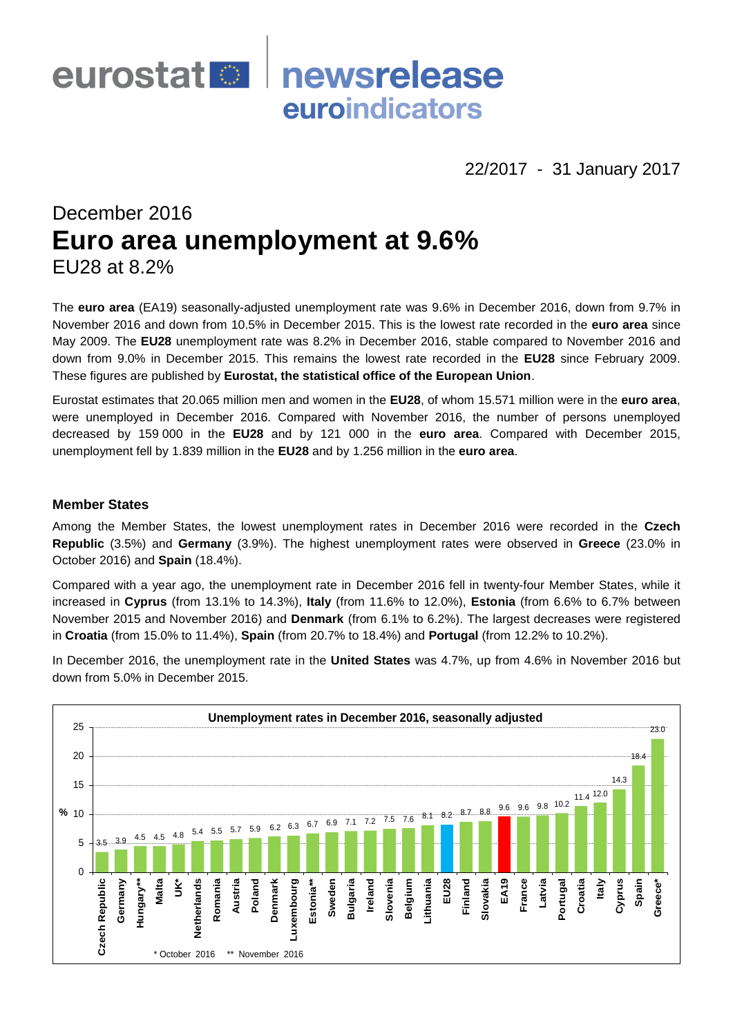

22/2017 - 31 January 2017

# December 2016 **Euro area unemployment at 9.6%** EU28 at 8.2%

The **euro area** (EA19) seasonally-adjusted unemployment rate was 9.6% in December 2016, down from 9.7% in November 2016 and down from 10.5% in December 2015. This is the lowest rate recorded in the **euro area** since May 2009. The **EU28** unemployment rate was 8.2% in December 2016, stable compared to November 2016 and down from 9.0% in December 2015. This remains the lowest rate recorded in the **EU28** since February 2009. These figures are published by **Eurostat, the statistical office of the European Union**.

Eurostat estimates that 20.065 million men and women in the **EU28**, of whom 15.571 million were in the **euro area**, were unemployed in December 2016. Compared with November 2016, the number of persons unemployed decreased by 159 000 in the **EU28** and by 121 000 in the **euro area**. Compared with December 2015, unemployment fell by 1.839 million in the **EU28** and by 1.256 million in the **euro area**.

## **Member States**

Among the Member States, the lowest unemployment rates in December 2016 were recorded in the **Czech Republic** (3.5%) and **Germany** (3.9%). The highest unemployment rates were observed in **Greece** (23.0% in October 2016) and **Spain** (18.4%).

Compared with a year ago, the unemployment rate in December 2016 fell in twenty-four Member States, while it increased in **Cyprus** (from 13.1% to 14.3%), **Italy** (from 11.6% to 12.0%), **Estonia** (from 6.6% to 6.7% between November 2015 and November 2016) and **Denmark** (from 6.1% to 6.2%). The largest decreases were registered in **Croatia** (from 15.0% to 11.4%), **Spain** (from 20.7% to 18.4%) and **Portugal** (from 12.2% to 10.2%).

In December 2016, the unemployment rate in the **United States** was 4.7%, up from 4.6% in November 2016 but down from 5.0% in December 2015.

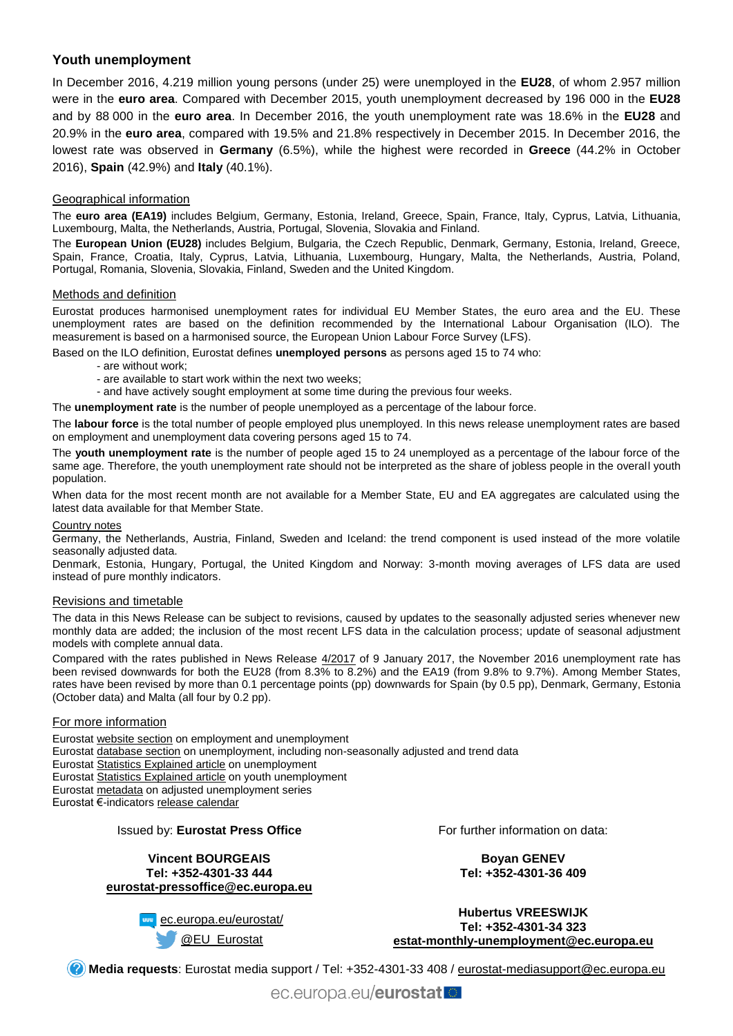# **Youth unemployment**

In December 2016, 4.219 million young persons (under 25) were unemployed in the **EU28**, of whom 2.957 million were in the **euro area**. Compared with December 2015, youth unemployment decreased by 196 000 in the **EU28** and by 88 000 in the **euro area**. In December 2016, the youth unemployment rate was 18.6% in the **EU28** and 20.9% in the **euro area**, compared with 19.5% and 21.8% respectively in December 2015. In December 2016, the lowest rate was observed in **Germany** (6.5%), while the highest were recorded in **Greece** (44.2% in October 2016), **Spain** (42.9%) and **Italy** (40.1%).

## Geographical information

The **euro area (EA19)** includes Belgium, Germany, Estonia, Ireland, Greece, Spain, France, Italy, Cyprus, Latvia, Lithuania, Luxembourg, Malta, the Netherlands, Austria, Portugal, Slovenia, Slovakia and Finland.

The **European Union (EU28)** includes Belgium, Bulgaria, the Czech Republic, Denmark, Germany, Estonia, Ireland, Greece, Spain, France, Croatia, Italy, Cyprus, Latvia, Lithuania, Luxembourg, Hungary, Malta, the Netherlands, Austria, Poland, Portugal, Romania, Slovenia, Slovakia, Finland, Sweden and the United Kingdom.

## Methods and definition

Eurostat produces harmonised unemployment rates for individual EU Member States, the euro area and the EU. These unemployment rates are based on the definition recommended by the International Labour Organisation (ILO). The measurement is based on a harmonised source, the European Union Labour Force Survey (LFS).

Based on the ILO definition, Eurostat defines **unemployed persons** as persons aged 15 to 74 who:

- are without work;
- are available to start work within the next two weeks;
- and have actively sought employment at some time during the previous four weeks.

The **unemployment rate** is the number of people unemployed as a percentage of the labour force.

The **labour force** is the total number of people employed plus unemployed. In this news release unemployment rates are based on employment and unemployment data covering persons aged 15 to 74.

The **youth unemployment rate** is the number of people aged 15 to 24 unemployed as a percentage of the labour force of the same age. Therefore, the youth unemployment rate should not be interpreted as the share of jobless people in the overall youth population.

When data for the most recent month are not available for a Member State, EU and EA aggregates are calculated using the latest data available for that Member State.

#### Country notes

Germany, the Netherlands, Austria, Finland, Sweden and Iceland: the trend component is used instead of the more volatile seasonally adjusted data.

Denmark, Estonia, Hungary, Portugal, the United Kingdom and Norway: 3-month moving averages of LFS data are used instead of pure monthly indicators.

#### Revisions and timetable

The data in this News Release can be subject to revisions, caused by updates to the seasonally adjusted series whenever new monthly data are added; the inclusion of the most recent LFS data in the calculation process; update of seasonal adjustment models with complete annual data.

Compared with the rates published in News Release [4/2017](http://ec.europa.eu/eurostat/documents/2995521/7784700/3-09012017-AP-EN.pdf/a71f5105-0f38-4f52-ba3a-c6f3cf6f9c41) of 9 January 2017, the November 2016 unemployment rate has been revised downwards for both the EU28 (from 8.3% to 8.2%) and the EA19 (from 9.8% to 9.7%). Among Member States, rates have been revised by more than 0.1 percentage points (pp) downwards for Spain (by 0.5 pp), Denmark, Germany, Estonia (October data) and Malta (all four by 0.2 pp).

## For more information

Eurosta[t website section](http://ec.europa.eu/eurostat/web/lfs/overview) on employment and unemployment

Eurosta[t database section](http://ec.europa.eu/eurostat/web/lfs/data/database) on unemployment, including non-seasonally adjusted and trend data

Eurosta[t Statistics Explained article](http://ec.europa.eu/eurostat/statistics-explained/index.php/Unemployment_statistics) on unemployment

Eurosta[t Statistics Explained article](http://ec.europa.eu/eurostat/statistics-explained/index.php/Youth_unemployment) on youth unemployment

Eurosta[t metadata](http://ec.europa.eu/eurostat/cache/metadata/en/une_esms.htm) on adjusted unemployment series

Eurostat €-indicator[s release calendar](http://ec.europa.eu/eurostat/news/release-calendar)

## Issued by: **Eurostat Press Office**

#### **Vincent BOURGEAIS Tel: +352-4301-33 444 [eurostat-pressoffice@ec.europa.eu](mailto:eurostat-pressoffice@ec.europa.eu)**

**EURICH** [ec.europa.eu/eurostat/](http://ec.europa.eu/eurostat/) [@EU\\_Eurostat](http://twitter.com/EU_Eurostat)

For further information on data:

**Boyan GENEV Tel: +352-4301-36 409**

**Hubertus VREESWIJK Tel: +352-4301-34 323 [estat-monthly-unemployment@ec.europa.eu](mailto:ESTAT-monthly-unemployment@ec.europa.eu)**

**Media requests**: Eurostat media support / Tel: +352-4301-33 408 / [eurostat-mediasupport@ec.europa.eu](mailto:eurostat-mediasupport@ec.europa.eu)

ec.europa.eu/eurostat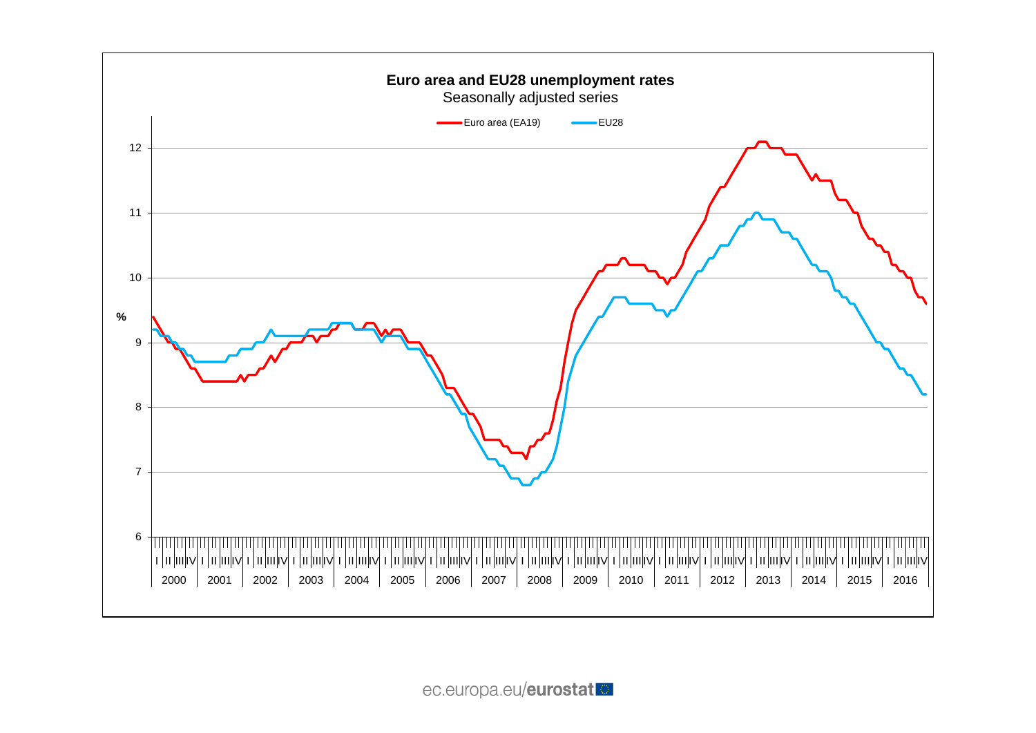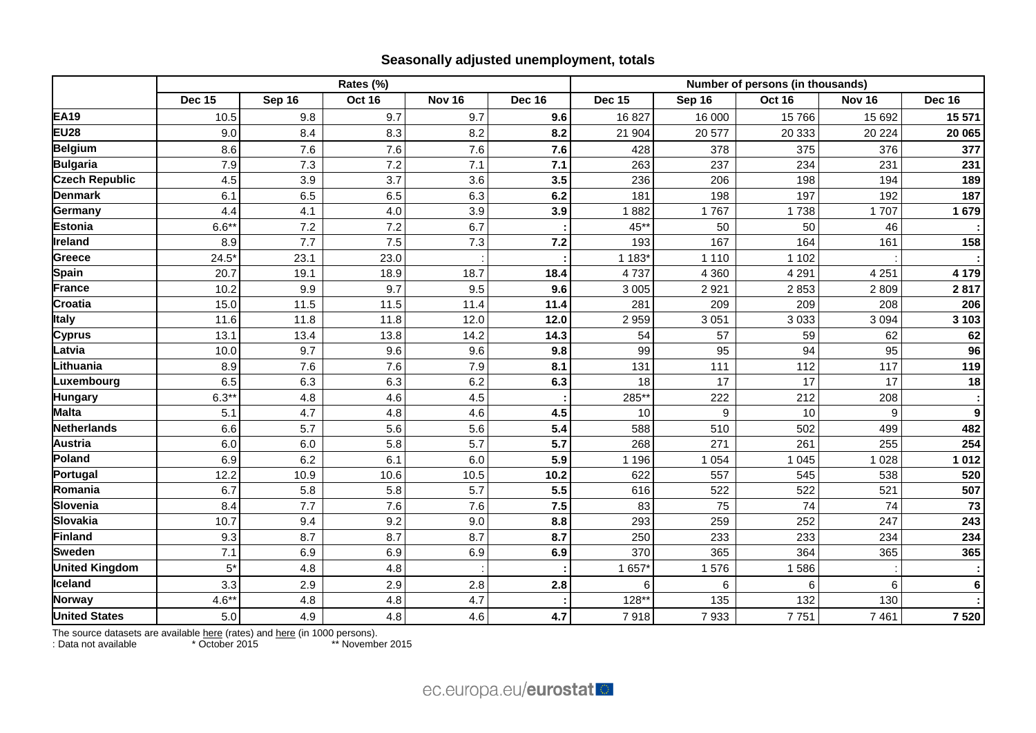# **Seasonally adjusted unemployment, totals**

|                       | Rates (%)     |        |               |                   |               | Number of persons (in thousands) |         |               |                  |                  |  |
|-----------------------|---------------|--------|---------------|-------------------|---------------|----------------------------------|---------|---------------|------------------|------------------|--|
|                       | <b>Dec 15</b> | Sep 16 | <b>Oct 16</b> | Nov <sub>16</sub> | <b>Dec 16</b> | <b>Dec 15</b>                    | Sep 16  | <b>Oct 16</b> | <b>Nov 16</b>    | <b>Dec 16</b>    |  |
| <b>EA19</b>           | 10.5          | 9.8    | 9.7           | 9.7               | 9.6           | 16827                            | 16 000  | 15766         | 15 692           | 15 571           |  |
| <b>EU28</b>           | 9.0           | 8.4    | 8.3           | 8.2               | 8.2           | 21 904                           | 20 577  | 20 333        | 20 224           | 20 065           |  |
| <b>Belgium</b>        | 8.6           | 7.6    | 7.6           | 7.6               | 7.6           | 428                              | 378     | 375           | 376              | 377              |  |
| <b>Bulgaria</b>       | 7.9           | 7.3    | 7.2           | 7.1               | 7.1           | 263                              | 237     | 234           | 231              | 231              |  |
| <b>Czech Republic</b> | 4.5           | 3.9    | 3.7           | 3.6               | 3.5           | 236                              | 206     | 198           | 194              | 189              |  |
| <b>Denmark</b>        | 6.1           | 6.5    | 6.5           | 6.3               | 6.2           | 181                              | 198     | 197           | 192              | 187              |  |
| Germany               | 4.4           | 4.1    | 4.0           | 3.9               | 3.9           | 1882                             | 1767    | 1738          | 1707             | 1679             |  |
| <b>Estonia</b>        | $6.6*$        | 7.2    | 7.2           | 6.7               |               | 45**                             | 50      | 50            | 46               |                  |  |
| Ireland               | 8.9           | 7.7    | 7.5           | 7.3               | 7.2           | 193                              | 167     | 164           | 161              | 158              |  |
| Greece                | 24.5'         | 23.1   | 23.0          |                   |               | 1 183*                           | 1 1 1 0 | 1 1 0 2       |                  |                  |  |
| Spain                 | 20.7          | 19.1   | 18.9          | 18.7              | 18.4          | 4737                             | 4 3 6 0 | 4 2 9 1       | 4 2 5 1          | 4 179            |  |
| <b>France</b>         | 10.2          | 9.9    | 9.7           | 9.5               | 9.6           | 3 0 0 5                          | 2921    | 2853          | 2809             | 2817             |  |
| Croatia               | 15.0          | 11.5   | 11.5          | 11.4              | 11.4          | 281                              | 209     | 209           | 208              | 206              |  |
| <b>Italy</b>          | 11.6          | 11.8   | 11.8          | 12.0              | 12.0          | 2959                             | 3 0 5 1 | 3 0 3 3       | 3 0 9 4          | 3 1 0 3          |  |
| <b>Cyprus</b>         | 13.1          | 13.4   | 13.8          | 14.2              | 14.3          | 54                               | 57      | 59            | 62               | 62               |  |
| Latvia                | 10.0          | 9.7    | 9.6           | 9.6               | 9.8           | 99                               | 95      | 94            | 95               | 96               |  |
| Lithuania             | 8.9           | 7.6    | 7.6           | 7.9               | 8.1           | 131                              | 111     | 112           | 117              | 119              |  |
| Luxembourg            | 6.5           | 6.3    | 6.3           | 6.2               | 6.3           | 18                               | 17      | 17            | 17               | 18               |  |
| <b>Hungary</b>        | $6.3**$       | 4.8    | 4.6           | 4.5               |               | 285**                            | 222     | 212           | 208              |                  |  |
| <b>Malta</b>          | 5.1           | 4.7    | 4.8           | 4.6               | 4.5           | 10                               | 9       | 10            | $\boldsymbol{9}$ | $\boldsymbol{9}$ |  |
| Netherlands           | 6.6           | 5.7    | 5.6           | 5.6               | $5.4$         | 588                              | 510     | 502           | 499              | 482              |  |
| <b>Austria</b>        | 6.0           | 6.0    | 5.8           | 5.7               | 5.7           | 268                              | 271     | 261           | 255              | 254              |  |
| Poland                | 6.9           | 6.2    | 6.1           | 6.0               | 5.9           | 1 1 9 6                          | 1 0 5 4 | 1 0 4 5       | 1 0 2 8          | 1012             |  |
| Portugal              | 12.2          | 10.9   | 10.6          | 10.5              | 10.2          | 622                              | 557     | 545           | 538              | 520              |  |
| Romania               | 6.7           | 5.8    | 5.8           | 5.7               | 5.5           | 616                              | 522     | 522           | 521              | 507              |  |
| Slovenia              | 8.4           | 7.7    | 7.6           | 7.6               | 7.5           | 83                               | 75      | 74            | 74               | 73               |  |
| <b>Slovakia</b>       | 10.7          | 9.4    | 9.2           | 9.0               | 8.8           | 293                              | 259     | 252           | 247              | 243              |  |
| Finland               | 9.3           | 8.7    | 8.7           | 8.7               | 8.7           | 250                              | 233     | 233           | 234              | 234              |  |
| <b>Sweden</b>         | 7.1           | 6.9    | 6.9           | 6.9               | 6.9           | 370                              | 365     | 364           | 365              | 365              |  |
| <b>United Kingdom</b> | $5*$          | 4.8    | 4.8           |                   |               | 1 657                            | 1576    | 1586          |                  |                  |  |
| <b>Iceland</b>        | 3.3           | 2.9    | 2.9           | 2.8               | 2.8           | 6                                | 6       | 6             | 6                | $\bf 6$          |  |
| <b>Norway</b>         | $4.6***$      | 4.8    | 4.8           | 4.7               |               | 128**                            | 135     | 132           | 130              |                  |  |
| <b>United States</b>  | $5.0\,$       | 4.9    | 4.8           | 4.6               | 4.7           | 7918                             | 7933    | 7751          | 7 4 6 1          | 7520             |  |

The source datasets are available [here](http://appsso.eurostat.ec.europa.eu/nui/show.do?query=BOOKMARK_DS-055624_QID_7A0B24FB_UID_-3F171EB0&layout=TIME,C,X,0;GEO,L,Y,0;S_ADJ,L,Z,0;AGE,L,Z,1;SEX,L,Z,2;UNIT,L,Z,3;INDICATORS,C,Z,4;&zSelection=DS-055624AGE,TOTAL;DS-055624INDICATORS,OBS_FLAG;DS-055624SEX,T;DS-055624S_ADJ,SA;DS-055624UNIT,PC_ACT;&rankName1=AGE_1_2_-1_2&rankName2=INDICATORS_1_2_-1_2&rankName3=SEX_1_2_-1_2&rankName4=S-ADJ_1_2_-1_2&rankName5=UNIT_1_2_0_0&rankName6=TIME_1_0_0_0&rankName7=GEO_1_2_0_1&sortC=ASC_-1_FIRST&rStp=&cStp=&rDCh=&cDCh=&rDM=true&cDM=true&footnes=false&empty=false&wai=false&time_mode=ROLLING&time_most_recent=true&lang=EN&cfo=%23%23%23%2C%23%23%23.%23%23%23) (rates) and here (in 1000 persons).

: Data not available \* October 2015 \*\* November 2015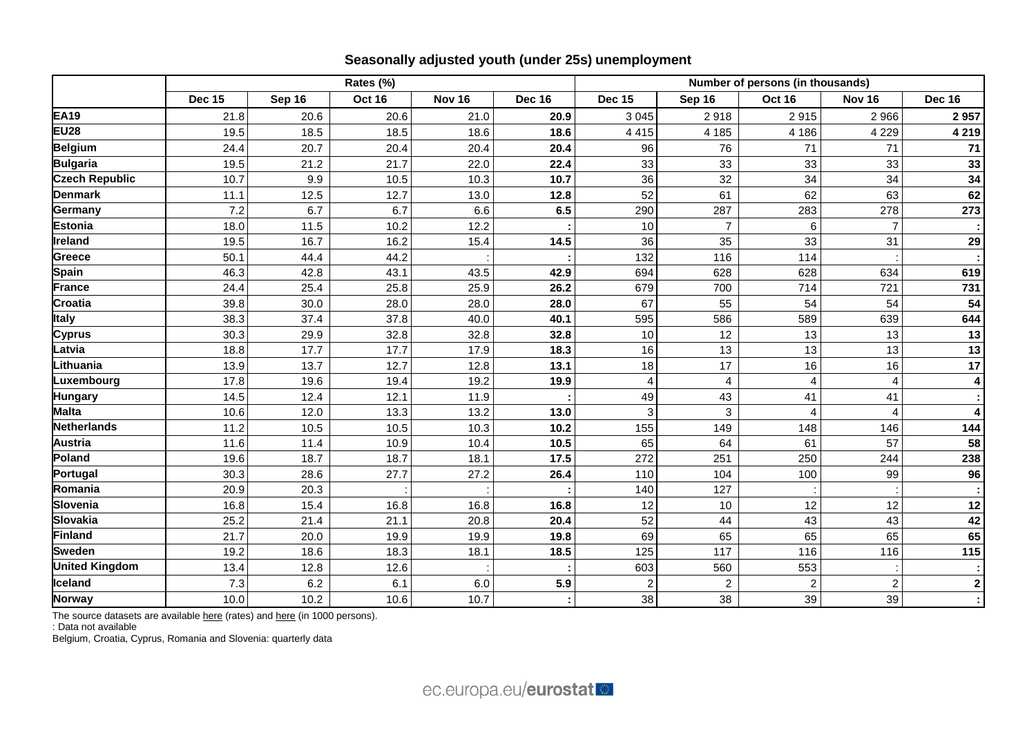|                       | Rates (%)     |        |               |               |               | Number of persons (in thousands) |                |                |                        |               |  |
|-----------------------|---------------|--------|---------------|---------------|---------------|----------------------------------|----------------|----------------|------------------------|---------------|--|
|                       | <b>Dec 15</b> | Sep 16 | <b>Oct 16</b> | <b>Nov 16</b> | <b>Dec 16</b> | <b>Dec 15</b>                    | Sep 16         | <b>Oct 16</b>  | Nov <sub>16</sub>      | <b>Dec 16</b> |  |
| <b>EA19</b>           | 21.8          | 20.6   | 20.6          | 21.0          | 20.9          | 3 0 4 5                          | 2918           | 2915           | 2966                   | 2957          |  |
| <b>EU28</b>           | 19.5          | 18.5   | 18.5          | 18.6          | 18.6          | 4 4 1 5                          | 4 1 8 5        | 4 18 6         | 4 2 2 9                | 4 2 1 9       |  |
| <b>Belgium</b>        | 24.4          | 20.7   | 20.4          | 20.4          | 20.4          | 96                               | 76             | 71             | 71                     | 71            |  |
| <b>Bulgaria</b>       | 19.5          | 21.2   | 21.7          | 22.0          | 22.4          | 33                               | 33             | 33             | 33                     | 33            |  |
| <b>Czech Republic</b> | 10.7          | 9.9    | 10.5          | 10.3          | 10.7          | 36                               | 32             | 34             | 34                     | 34            |  |
| <b>Denmark</b>        | 11.1          | 12.5   | 12.7          | 13.0          | 12.8          | 52                               | 61             | 62             | 63                     | 62            |  |
| Germany               | 7.2           | 6.7    | 6.7           | 6.6           | 6.5           | 290                              | 287            | 283            | 278                    | 273           |  |
| <b>Estonia</b>        | 18.0          | 11.5   | 10.2          | 12.2          |               | 10                               | $\overline{7}$ | 6              | $\overline{7}$         |               |  |
| Ireland               | 19.5          | 16.7   | 16.2          | 15.4          | 14.5          | 36                               | 35             | 33             | 31                     | 29            |  |
| Greece                | 50.1          | 44.4   | 44.2          |               |               | 132                              | 116            | 114            |                        |               |  |
| <b>Spain</b>          | 46.3          | 42.8   | 43.1          | 43.5          | 42.9          | 694                              | 628            | 628            | 634                    | 619           |  |
| <b>France</b>         | 24.4          | 25.4   | 25.8          | 25.9          | 26.2          | 679                              | 700            | 714            | 721                    | 731           |  |
| <b>Croatia</b>        | 39.8          | 30.0   | 28.0          | 28.0          | 28.0          | 67                               | 55             | 54             | 54                     | 54            |  |
| <b>Italy</b>          | 38.3          | 37.4   | 37.8          | 40.0          | 40.1          | 595                              | 586            | 589            | 639                    | 644           |  |
| <b>Cyprus</b>         | 30.3          | 29.9   | 32.8          | 32.8          | 32.8          | 10                               | 12             | 13             | 13                     | 13            |  |
| Latvia                | 18.8          | 17.7   | 17.7          | 17.9          | 18.3          | 16                               | 13             | 13             | 13                     | 13            |  |
| Lithuania             | 13.9          | 13.7   | 12.7          | 12.8          | 13.1          | 18                               | 17             | 16             | 16                     | 17            |  |
| Luxembourg            | 17.8          | 19.6   | 19.4          | 19.2          | 19.9          |                                  | 4              | 4              | 4                      | 4             |  |
| <b>Hungary</b>        | 14.5          | 12.4   | 12.1          | 11.9          |               | 49                               | 43             | 41             | 41                     |               |  |
| <b>Malta</b>          | 10.6          | 12.0   | 13.3          | 13.2          | 13.0          |                                  | 3              | Δ              | $\boldsymbol{\Lambda}$ | 4             |  |
| <b>Netherlands</b>    | 11.2          | 10.5   | 10.5          | 10.3          | 10.2          | 155                              | 149            | 148            | 146                    | 144           |  |
| <b>Austria</b>        | 11.6          | 11.4   | 10.9          | 10.4          | 10.5          | 65                               | 64             | 61             | 57                     | 58            |  |
| Poland                | 19.6          | 18.7   | 18.7          | 18.1          | 17.5          | 272                              | 251            | 250            | 244                    | 238           |  |
| Portugal              | 30.3          | 28.6   | 27.7          | 27.2          | 26.4          | 110                              | 104            | 100            | 99                     | 96            |  |
| Romania               | 20.9          | 20.3   |               |               |               | 140                              | 127            |                |                        |               |  |
| Slovenia              | 16.8          | 15.4   | 16.8          | 16.8          | 16.8          | 12                               | 10             | 12             | 12                     | 12            |  |
| <b>Slovakia</b>       | 25.2          | 21.4   | 21.1          | 20.8          | 20.4          | 52                               | 44             | 43             | 43                     | 42            |  |
| Finland               | 21.7          | 20.0   | 19.9          | 19.9          | 19.8          | 69                               | 65             | 65             | 65                     | 65            |  |
| <b>Sweden</b>         | 19.2          | 18.6   | 18.3          | 18.1          | 18.5          | 125                              | 117            | 116            | 116                    | 115           |  |
| <b>United Kingdom</b> | 13.4          | 12.8   | 12.6          |               |               | 603                              | 560            | 553            |                        |               |  |
| Iceland               | 7.3           | 6.2    | 6.1           | 6.0           | 5.9           | 2                                | $\overline{c}$ | $\overline{c}$ | $\overline{c}$         | $\mathbf 2$   |  |
| <b>Norway</b>         | 10.0          | 10.2   | 10.6          | 10.7          |               | 38                               | 38             | 39             | 39                     |               |  |

The source datasets are available [here](http://appsso.eurostat.ec.europa.eu/nui/show.do?query=BOOKMARK_DS-055624_QID_5DCA03A6_UID_-3F171EB0&layout=TIME,C,X,0;GEO,L,Y,0;S_ADJ,L,Z,0;AGE,L,Z,1;SEX,L,Z,2;UNIT,L,Z,3;INDICATORS,C,Z,4;&zSelection=DS-055624AGE,TOTAL;DS-055624INDICATORS,OBS_FLAG;DS-055624SEX,T;DS-055624S_ADJ,SA;DS-055624UNIT,THS_PER;&rankName1=AGE_1_2_-1_2&rankName2=INDICATORS_1_2_-1_2&rankName3=SEX_1_2_-1_2&rankName4=S-ADJ_1_2_-1_2&rankName5=UNIT_1_2_0_0&rankName6=TIME_1_0_0_0&rankName7=GEO_1_2_0_1&sortC=ASC_-1_FIRST&rStp=&cStp=&rDCh=&cDCh=&rDM=true&cDM=true&footnes=false&empty=false&wai=false&time_mode=ROLLING&time_most_recent=true&lang=EN&cfo=%23%23%23%2C%23%23%23.%23%23%23) (rates) and here (in 1000 persons).

: Data not available

Belgium, Croatia, Cyprus, Romania and Slovenia: quarterly data